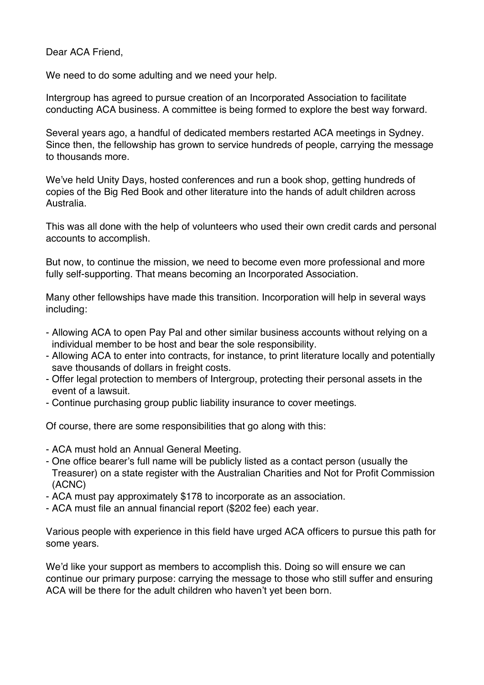Dear ACA Friend,

We need to do some adulting and we need your help.

Intergroup has agreed to pursue creation of an Incorporated Association to facilitate conducting ACA business. A committee is being formed to explore the best way forward.

Several years ago, a handful of dedicated members restarted ACA meetings in Sydney. Since then, the fellowship has grown to service hundreds of people, carrying the message to thousands more.

We've held Unity Days, hosted conferences and run a book shop, getting hundreds of copies of the Big Red Book and other literature into the hands of adult children across Australia.

This was all done with the help of volunteers who used their own credit cards and personal accounts to accomplish.

But now, to continue the mission, we need to become even more professional and more fully self-supporting. That means becoming an Incorporated Association.

Many other fellowships have made this transition. Incorporation will help in several ways including:

- Allowing ACA to open Pay Pal and other similar business accounts without relying on a individual member to be host and bear the sole responsibility.
- Allowing ACA to enter into contracts, for instance, to print literature locally and potentially save thousands of dollars in freight costs.
- Offer legal protection to members of Intergroup, protecting their personal assets in the event of a lawsuit.
- Continue purchasing group public liability insurance to cover meetings.

Of course, there are some responsibilities that go along with this:

- ACA must hold an Annual General Meeting.
- One office bearer's full name will be publicly listed as a contact person (usually the Treasurer) on a state register with the Australian Charities and Not for Profit Commission (ACNC)
- ACA must pay approximately \$178 to incorporate as an association.
- ACA must file an annual financial report (\$202 fee) each year.

Various people with experience in this field have urged ACA officers to pursue this path for some years.

We'd like your support as members to accomplish this. Doing so will ensure we can continue our primary purpose: carrying the message to those who still suffer and ensuring ACA will be there for the adult children who haven't yet been born.